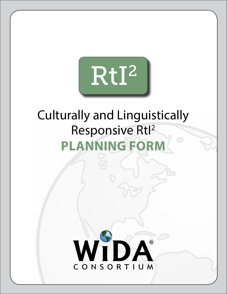

# Culturally and Linguistically Responsive Rtl<sup>2</sup> **PLANNING FORM**

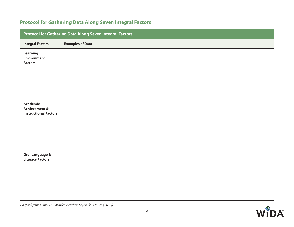# **Protocol for Gathering Data Along Seven Integral Factors**

| Protocol for Gathering Data Along Seven Integral Factors                    |                         |  |  |
|-----------------------------------------------------------------------------|-------------------------|--|--|
| <b>Integral Factors</b>                                                     | <b>Examples of Data</b> |  |  |
| Learning<br><b>Environment</b><br><b>Factors</b>                            |                         |  |  |
| <b>Academic</b><br><b>Achievement &amp;</b><br><b>Instructional Factors</b> |                         |  |  |
| Oral Language &<br><b>Literacy Factors</b>                                  |                         |  |  |

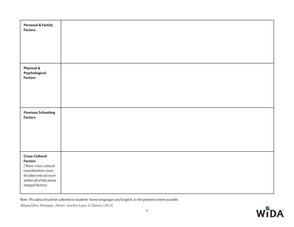| <b>Personal &amp; Family</b><br><b>Factors</b>                                                                                                                    |  |
|-------------------------------------------------------------------------------------------------------------------------------------------------------------------|--|
| <b>Physical &amp;</b><br>Psychological<br><b>Factors</b>                                                                                                          |  |
| <b>Previous Schooling</b><br><b>Factors</b>                                                                                                                       |  |
| <b>Cross-Cultural</b><br><b>Factors</b><br>(*Note: cross-cultural<br>considerations must<br>be taken into account<br>within all of the above<br>integral factors) |  |

Note: This data should be collected in students' home languages and English, to the greatest extent possible.

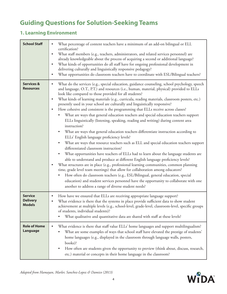# **Guiding Questions for Solution-Seeking Teams**

# **1. Learning Environment**

| <b>School Staff</b>                                | What percentage of content teachers have a minimum of an add-on bilingual or ELL<br>certification?<br>What staff members (e.g., teachers, administrators, and related services personnel) are<br>already knowledgeable about the process of acquiring a second or additional language?<br>What kinds of opportunities do all staff have for ongoing professional development in<br>delivering culturally and linguistically responsive pedagogy?<br>What opportunities do classroom teachers have to coordinate with ESL/Bilingual teachers?<br>$\bullet$                                                                                                                                                                                                                                                                                                                                                                                                                                                                                                                                                                                                                                                                                                                                                                                                                                                                                                                                                                                                                                                      |  |  |
|----------------------------------------------------|----------------------------------------------------------------------------------------------------------------------------------------------------------------------------------------------------------------------------------------------------------------------------------------------------------------------------------------------------------------------------------------------------------------------------------------------------------------------------------------------------------------------------------------------------------------------------------------------------------------------------------------------------------------------------------------------------------------------------------------------------------------------------------------------------------------------------------------------------------------------------------------------------------------------------------------------------------------------------------------------------------------------------------------------------------------------------------------------------------------------------------------------------------------------------------------------------------------------------------------------------------------------------------------------------------------------------------------------------------------------------------------------------------------------------------------------------------------------------------------------------------------------------------------------------------------------------------------------------------------|--|--|
| <b>Services &amp;</b><br><b>Resources</b>          | What do the services (e.g., special education, guidance counseling, school psychology, speech<br>and language, O.T., P.T.) and resources (i.e., human, material, physical) provided to ELLs<br>look like compared to those provided for all students?<br>What kinds of learning materials (e.g., curricula, reading materials, classroom posters, etc.)<br>presently used in your school are culturally and linguistically responsive?<br>How cohesive and consistent is the programming that ELLs receive across classes?<br>$\bullet$<br>What are ways that general education teachers and special education teachers support<br>ELLs linguistically (listening, speaking, reading and writing) during content area<br>instruction?<br>What are ways that general education teachers differentiate instruction according to<br>ELLs' English language proficiency levels?<br>What are ways that resource teachers such as ELL and special education teachers support<br>differentiated classroom instruction?<br>What opportunities have teachers of ELLs had to learn about the language students are<br>able to understand and produce at different English language proficiency levels?<br>What structures are in place (e.g., professional learning communities, common planning<br>time, grade level team meetings) that allow for collaboration among educators?<br>How often do classroom teachers (e.g., ESL/Bilingual, general education, special<br>education) and student services personnel have the opportunity to collaborate with one<br>another to address a range of diverse student needs? |  |  |
| <b>Service</b><br><b>Delivery</b><br><b>Models</b> | How have we ensured that ELLs are receiving appropriate language support?<br>$\bullet$<br>What evidence is there that the systems in place provide sufficient data to show student<br>achievement at multiple levels (e.g., school-level, grade-level, classroom-level, specific groups<br>of students, individual students)?<br>What qualitative and quantitative data are shared with staff at these levels?                                                                                                                                                                                                                                                                                                                                                                                                                                                                                                                                                                                                                                                                                                                                                                                                                                                                                                                                                                                                                                                                                                                                                                                                 |  |  |
| <b>Role of Home</b><br>Language                    | What evidence is there that staff value ELLs' home languages and support multilingualism?<br>$\bullet$<br>What are some examples of ways that school staff have elevated the prestige of students'<br>home languages (e.g., displayed in the classroom through language walls, posters,<br>books)?<br>How often are students given the opportunity to preview (think about, discuss, research,<br>$\bullet$<br>etc.) material or concepts in their home language in the classroom?                                                                                                                                                                                                                                                                                                                                                                                                                                                                                                                                                                                                                                                                                                                                                                                                                                                                                                                                                                                                                                                                                                                             |  |  |

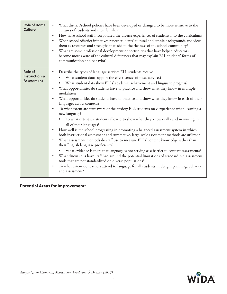| <b>Role of Home</b><br><b>Culture</b>                           | What district/school policies have been developed or changed to be more sensitive to the<br>$\bullet$<br>cultures of students and their families?<br>How have school staff incorporated the diverse experiences of students into the curriculum?<br>$\bullet$<br>What school /district initiatives reflect students' cultural and ethnic backgrounds and view<br>them as resources and strengths that add to the richness of the school community?<br>What are some professional development opportunities that have helped educators<br>$\bullet$<br>become more aware of the cultural differences that may explain ELL students' forms of<br>communication and behavior?                                                                                                                                                                                                                                                                                                                                                                                                                                                                                                                                                                                                                                                                                                                            |
|-----------------------------------------------------------------|-------------------------------------------------------------------------------------------------------------------------------------------------------------------------------------------------------------------------------------------------------------------------------------------------------------------------------------------------------------------------------------------------------------------------------------------------------------------------------------------------------------------------------------------------------------------------------------------------------------------------------------------------------------------------------------------------------------------------------------------------------------------------------------------------------------------------------------------------------------------------------------------------------------------------------------------------------------------------------------------------------------------------------------------------------------------------------------------------------------------------------------------------------------------------------------------------------------------------------------------------------------------------------------------------------------------------------------------------------------------------------------------------------|
| <b>Role of</b><br><b>Instruction &amp;</b><br><b>Assessment</b> | Describe the types of language services ELL students receive.<br>What student data support the effectiveness of these services?<br>What student data show ELLs' academic achievement and linguistic progress?<br>What opportunities do students have to practice and show what they know in multiple<br>$\bullet$<br>modalities?<br>What opportunities do students have to practice and show what they know in each of their<br>languages across contexts?<br>To what extent are staff aware of the anxiety ELL students may experience when learning a<br>new language?<br>To what extent are students allowed to show what they know orally and in writing in<br>all of their languages?<br>How well is the school progressing in promoting a balanced assessment system in which<br>both instructional assessment and summative, large-scale assessment methods are utilized?<br>What assessment methods do staff use to measure ELLs' content knowledge rather than<br>their English language proficiency?<br>What evidence is there that language is not serving as a barrier to content assessments?<br>$\bullet$<br>What discussions have staff had around the potential limitations of standardized assessment<br>tools that are not standardized on diverse populations?<br>To what extent do teachers attend to language for all students in design, planning, delivery,<br>and assessment? |

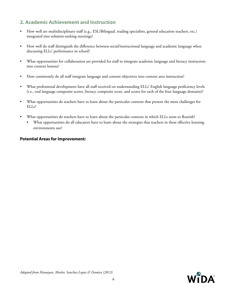## **2. Academic Achievement and Instruction**

- How well are multidisciplinary staff (e.g., ESL/Bilingual, reading specialists, general education teachers, etc.) integrated into solution-seeking meetings?
- How well do staff distinguish the difference between social/instructional language and academic language when discussing ELLs' performance in school?
- What opportunities for collaboration are provided for staff to integrate academic language and literacy instruction into content lessons?
- How consistently do all staff integrate language and content objectives into content area instruction?
- What professional development have all staff received on understanding ELLs' English language proficiency levels (i.e., oral language composite scores, literacy composite score, and scores for each of the four language domains)?
- What opportunities do teachers have to learn about the particular contexts that present the most challenges for ELLs?
- What opportunities do teachers have to learn about the particular contexts in which ELLs seem to flourish?
	- What opportunities do all educators have to learn about the strategies that teachers in these effective learning environments use?

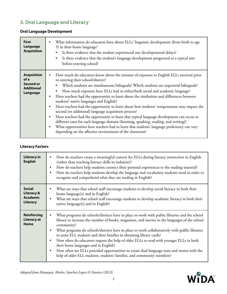# **3. Oral Language and Literacy**

## **Oral Language Development**

| <b>First</b><br>Language<br><b>Acquisition</b>                           | What information do educators have about ELLs' linguistic development (from birth to age<br>5) in their home language?<br>Is there evidence that the student experienced any developmental delays?<br>Is there evidence that the student's language development progressed at a typical rate<br>$\bullet$<br>before entering school?                                                                                                                                                                                                                                                                                                                                                                                                                                                                                                                                                                                                                                         |
|--------------------------------------------------------------------------|------------------------------------------------------------------------------------------------------------------------------------------------------------------------------------------------------------------------------------------------------------------------------------------------------------------------------------------------------------------------------------------------------------------------------------------------------------------------------------------------------------------------------------------------------------------------------------------------------------------------------------------------------------------------------------------------------------------------------------------------------------------------------------------------------------------------------------------------------------------------------------------------------------------------------------------------------------------------------|
| <b>Acquisition</b><br>of a<br>Second or<br><b>Additional</b><br>Language | How much do educators know about the amount of exposure to English ELLs received prior<br>to entering their school/district?<br>Which students are simultaneous bilinguals? Which students are sequential bilinguals?<br>$\bullet$<br>How much exposure have ELLs had to either/both social and academic language?<br>$\bullet$<br>Have teachers had the opportunity to learn about the similarities and differences between<br>students' native languages and English?<br>Have teachers had the opportunity to learn about how students' temperament may impact the<br>second (or additional) language acquisition process?<br>Have teachers had the opportunity to learn that typical language development can occur at<br>different rates for each language domain (listening, speaking, reading, and writing)?<br>What opportunities have teachers had to learn that students' language proficiency can vary<br>depending on the affective environment of the classroom? |

### **Literacy Factors**

| <b>Literacy in</b><br><b>English</b>                                  | How do teachers create a meaningful context for ELLs during literacy instruction in English<br>$\bullet$<br>(rather than teaching literacy skills in isolation)?<br>How do teachers help students connect their personal experiences to the reading material?<br>٠<br>How do teachers help students develop the language and vocabulary students need in order to<br>٠<br>recognize and comprehend what they are reading in English?                                                                                                                                                                                                                                                                                                |  |  |  |
|-----------------------------------------------------------------------|-------------------------------------------------------------------------------------------------------------------------------------------------------------------------------------------------------------------------------------------------------------------------------------------------------------------------------------------------------------------------------------------------------------------------------------------------------------------------------------------------------------------------------------------------------------------------------------------------------------------------------------------------------------------------------------------------------------------------------------|--|--|--|
| <b>Social</b><br><b>Literacy &amp;</b><br><b>Academic</b><br>Literacy | What are ways that school staff encourage students to develop social literacy in both their<br>home language(s) and in English?<br>What are ways that school staff encourage students to develop academic literacy in both their<br>$\bullet$<br>native language(s) and in English?                                                                                                                                                                                                                                                                                                                                                                                                                                                 |  |  |  |
| <b>Reinforcing</b><br>Literacy at<br>Home                             | What programs do schools/districts have in place to work with public libraries and the school<br>library to increase the number of books, magazines, and movies in the languages of the school<br>community?<br>What programs do schools/districts have in place to work collaboratively with public libraries<br>$\bullet$<br>to assist ELL students and their families in obtaining library cards?<br>How often do educators request the help of older ELLs to read with younger ELLs in both<br>$\bullet$<br>their home languages and in English?<br>How often are ELLs provided opportunities to create dual language texts and stories with the<br>٠<br>help of older ELL students, students' families, and community members? |  |  |  |

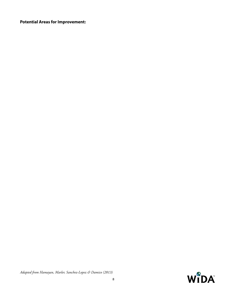## **Potential Areas for Improvement:**

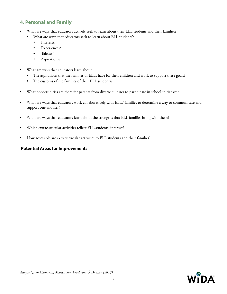## **4. Personal and Family**

- What are ways that educators actively seek to learn about their ELL students and their families?
	- What are ways that educators seek to learn about ELL students':
		- Interests?
		- Experiences?
		- Talents?
		- Aspirations?
- What are ways that educators learn about:
	- The aspirations that the families of ELLs have for their children and work to support these goals?
	- The customs of the families of their ELL students?
- What opportunities are there for parents from diverse cultures to participate in school initiatives?
- What are ways that educators work collaboratively with ELLs' families to determine a way to communicate and support one another?
- What are ways that educators learn about the strengths that ELL families bring with them?
- Which extracurricular activities reflect ELL students' interests?
- How accessible are extracurricular activities to ELL students and their families?

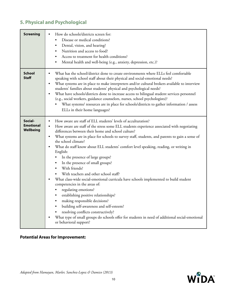# **5. Physical and Psychological**

| <b>Screening</b>                         | How do schools/districts screen for:<br>Disease or medical conditions?<br>٠<br>Dental, vision, and hearing?<br>Nutrition and access to food?<br>Access to treatment for health conditions?<br>Mental health and well-being (e.g., anxiety, depression, etc.)?                                                                                                                                                                                                                                                                                                                                                                                                                                                                                                                                                                                                                                                                                                                                                                                                                   |
|------------------------------------------|---------------------------------------------------------------------------------------------------------------------------------------------------------------------------------------------------------------------------------------------------------------------------------------------------------------------------------------------------------------------------------------------------------------------------------------------------------------------------------------------------------------------------------------------------------------------------------------------------------------------------------------------------------------------------------------------------------------------------------------------------------------------------------------------------------------------------------------------------------------------------------------------------------------------------------------------------------------------------------------------------------------------------------------------------------------------------------|
| <b>School</b><br><b>Staff</b>            | What has the school/district done to create environments where ELLs feel comfortable<br>speaking with school staff about their physical and social-emotional needs?<br>What systems are in place to make interpreters and/or cultural brokers available to interview<br>$\bullet$<br>students' families about students' physical and psychological needs?<br>What have schools/districts done to increase access to bilingual student services personnel<br>$\bullet$<br>(e.g., social workers, guidance counselors, nurses, school psychologists)?<br>What systems/resources are in place for schools/districts to gather information / assess<br>ELLs in their home languages?                                                                                                                                                                                                                                                                                                                                                                                                |
| Social-<br><b>Emotional</b><br>Wellbeing | How aware are staff of ELL students' levels of acculturation?<br>$\bullet$<br>How aware are staff of the stress some ELL students experience associated with negotiating<br>differences between their home and school culture?<br>What systems are in place for schools to survey staff, students, and parents to gain a sense of<br>$\bullet$<br>the school climate?<br>What do staff know about ELL students' comfort level speaking, reading, or writing in<br>$\bullet$<br>English:<br>In the presence of large groups?<br>In the presence of small groups?<br>With friends?<br>$\bullet$<br>With teachers and other school staff?<br>What class-wide social-emotional curricula have schools implemented to build student<br>competencies in the areas of:<br>regulating emotions?<br>establishing positive relationships?<br>making responsible decisions?<br>building self-awareness and self-esteem?<br>resolving conflicts constructively?<br>What type of small groups do schools offer for students in need of additional social-emotional<br>or behavioral support? |

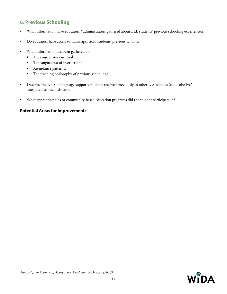## **6. Previous Schooling**

- What information have educators / administrators gathered about ELL students' previous schooling experiences?
- Do educators have access to transcripts from students' previous schools?
- What information has been gathered on:
	- The courses students took?
	- The language(s) of instruction?
	- Attendance patterns?
	- The teaching philosophy of previous schooling?
- Describe the types of language supports students received previously in other U.S. schools (e.g., cohesive/ integrated vs. inconsistent).
- What apprenticeships or community-based education programs did the student participate in?

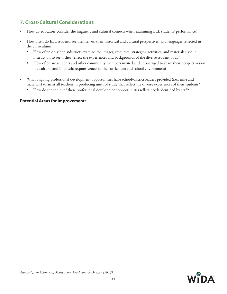## **7. Cross-Cultural Considerations**

- How do educators consider the linguistic and cultural contexts when examining ELL students' performance?
- How often do ELL students see themselves, their historical and cultural perspectives, and languages reflected in the curriculum?
	- How often do schools/districts examine the images, resources, strategies, activities, and materials used in instruction to see if they reflect the experiences and backgrounds of the diverse student body?
	- How often are students and other community members invited and encouraged to share their perspectives on the cultural and linguistic responsiveness of the curriculum and school environment?
- What ongoing professional development opportunities have school/district leaders provided (i.e., time and materials) to assist all teachers in producing units of study that reflect the diverse experiences of their students?
	- How do the topics of these professional development opportunities reflect needs identified by staff?

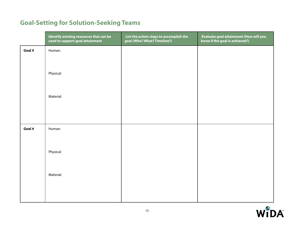# **Goal-Setting for Solution-Seeking Teams**

|        | Identify existing resources that can be<br>used to support goal attainment | List the action steps to accomplish the<br>goal (Who? What? Timeline?) | Evaluate goal attainment (How will you<br>know if the goal is achieved?) |
|--------|----------------------------------------------------------------------------|------------------------------------------------------------------------|--------------------------------------------------------------------------|
| Goal # | Human:                                                                     |                                                                        |                                                                          |
|        |                                                                            |                                                                        |                                                                          |
|        | Physical:                                                                  |                                                                        |                                                                          |
|        |                                                                            |                                                                        |                                                                          |
|        | Material:                                                                  |                                                                        |                                                                          |
|        |                                                                            |                                                                        |                                                                          |
|        |                                                                            |                                                                        |                                                                          |
| Goal # | Human:                                                                     |                                                                        |                                                                          |
|        |                                                                            |                                                                        |                                                                          |
|        | Physical:                                                                  |                                                                        |                                                                          |
|        |                                                                            |                                                                        |                                                                          |
|        | Material:                                                                  |                                                                        |                                                                          |
|        |                                                                            |                                                                        |                                                                          |
|        |                                                                            |                                                                        |                                                                          |